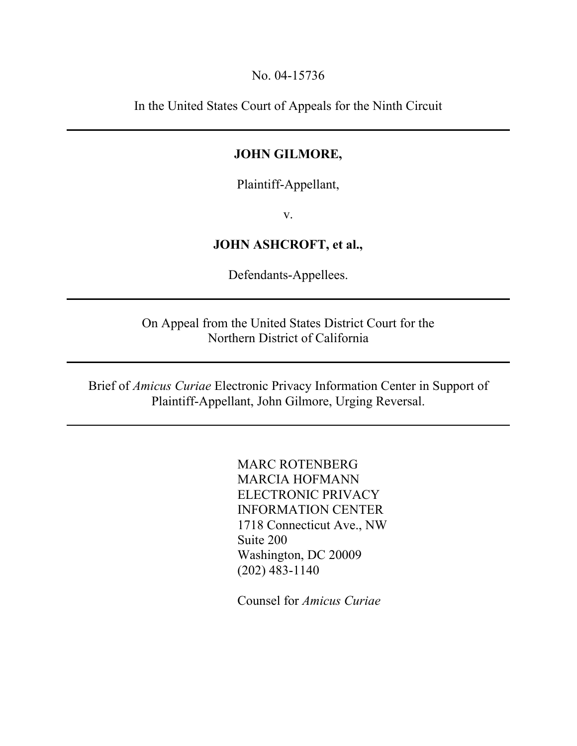No. 04-15736

In the United States Court of Appeals for the Ninth Circuit

## JOHN GILMORE,

Plaintiff-Appellant,

v.

# JOHN ASHCROFT, et al.,

Defendants-Appellees.

On Appeal from the United States District Court for the Northern District of California

Brief of *Amicus Curiae* Electronic Privacy Information Center in Support of Plaintiff-Appellant, John Gilmore, Urging Reversal.

> MARC ROTENBERG MARCIA HOFMANN ELECTRONIC PRIVACY INFORMATION CENTER 1718 Connecticut Ave., NW Suite 200 Washington, DC 20009 (202) 483-1140

Counsel for *Amicus Curiae*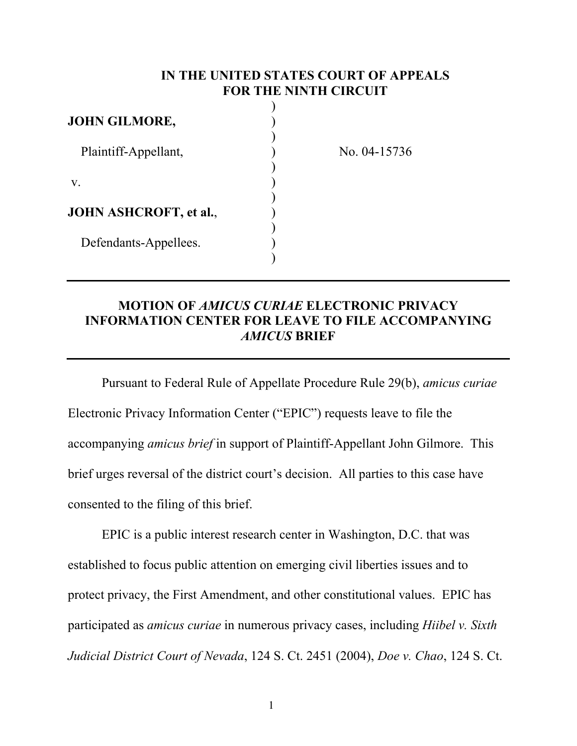### IN THE UNITED STATES COURT OF APPEALS FOR THE NINTH CIRCUIT

| <b>JOHN GILMORE,</b>          |  |
|-------------------------------|--|
|                               |  |
| Plaintiff-Appellant,          |  |
|                               |  |
| V.                            |  |
|                               |  |
| <b>JOHN ASHCROFT, et al.,</b> |  |
|                               |  |
| Defendants-Appellees.         |  |
|                               |  |

No. 04-15736

# MOTION OF *AMICUS CURIAE* ELECTRONIC PRIVACY INFORMATION CENTER FOR LEAVE TO FILE ACCOMPANYING *AMICUS* BRIEF

Pursuant to Federal Rule of Appellate Procedure Rule 29(b), *amicus curiae*  Electronic Privacy Information Center ("EPIC") requests leave to file the accompanying *amicus brief* in support of Plaintiff-Appellant John Gilmore. This brief urges reversal of the district court's decision. All parties to this case have consented to the filing of this brief.

EPIC is a public interest research center in Washington, D.C. that was established to focus public attention on emerging civil liberties issues and to protect privacy, the First Amendment, and other constitutional values. EPIC has participated as *amicus curiae* in numerous privacy cases, including *Hiibel v. Sixth Judicial District Court of Nevada*, 124 S. Ct. 2451 (2004), *Doe v. Chao*, 124 S. Ct.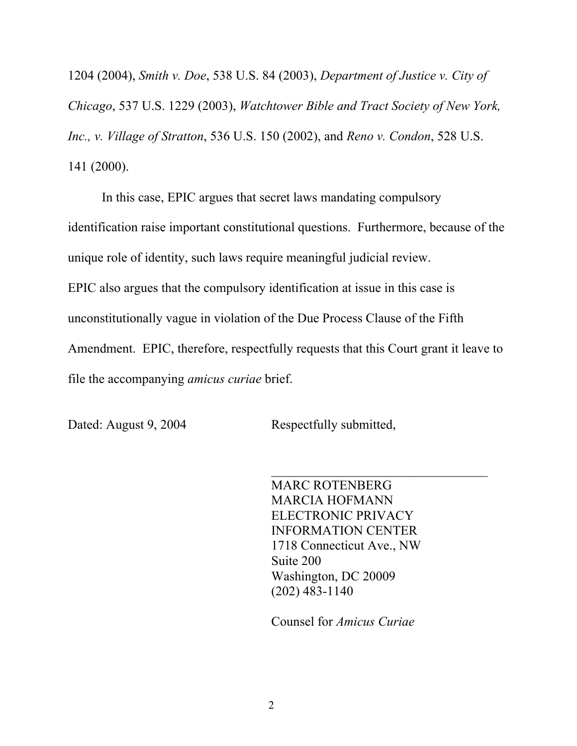1204 (2004), *Smith v. Doe*, 538 U.S. 84 (2003), *Department of Justice v. City of Chicago*, 537 U.S. 1229 (2003), *Watchtower Bible and Tract Society of New York, Inc., v. Village of Stratton*, 536 U.S. 150 (2002), and *Reno v. Condon*, 528 U.S. 141 (2000).

In this case, EPIC argues that secret laws mandating compulsory identification raise important constitutional questions. Furthermore, because of the unique role of identity, such laws require meaningful judicial review. EPIC also argues that the compulsory identification at issue in this case is unconstitutionally vague in violation of the Due Process Clause of the Fifth Amendment. EPIC, therefore, respectfully requests that this Court grant it leave to file the accompanying *amicus curiae* brief.

Dated: August 9, 2004 Respectfully submitted,

 $\mathcal{L}_\text{max}$ MARC ROTENBERG MARCIA HOFMANN ELECTRONIC PRIVACY INFORMATION CENTER 1718 Connecticut Ave., NW Suite 200 Washington, DC 20009 (202) 483-1140

Counsel for *Amicus Curiae*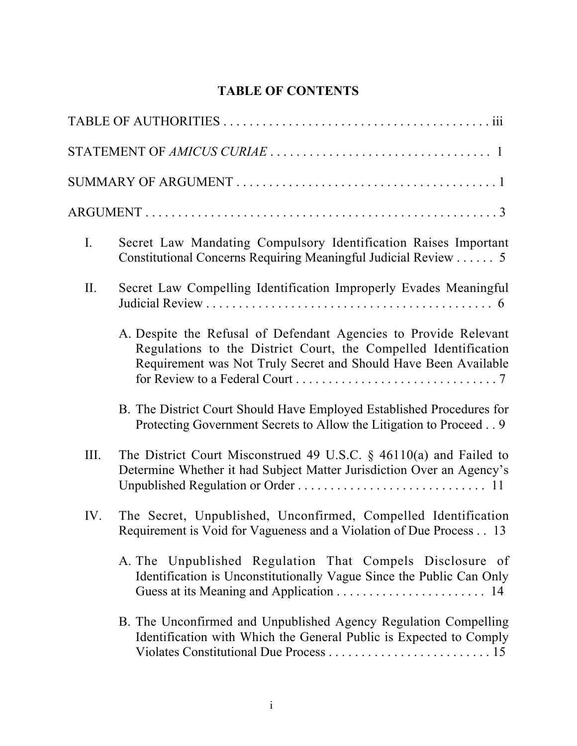# TABLE OF CONTENTS

| $I_{\cdot}$ | Secret Law Mandating Compulsory Identification Raises Important<br>Constitutional Concerns Requiring Meaningful Judicial Review 5                                                                      |
|-------------|--------------------------------------------------------------------------------------------------------------------------------------------------------------------------------------------------------|
| II.         | Secret Law Compelling Identification Improperly Evades Meaningful                                                                                                                                      |
|             | A. Despite the Refusal of Defendant Agencies to Provide Relevant<br>Regulations to the District Court, the Compelled Identification<br>Requirement was Not Truly Secret and Should Have Been Available |
|             | B. The District Court Should Have Employed Established Procedures for<br>Protecting Government Secrets to Allow the Litigation to Proceed 9                                                            |
| III.        | The District Court Misconstrued 49 U.S.C. $\S$ 46110(a) and Failed to<br>Determine Whether it had Subject Matter Jurisdiction Over an Agency's                                                         |
| IV.         | The Secret, Unpublished, Unconfirmed, Compelled Identification<br>Requirement is Void for Vagueness and a Violation of Due Process 13                                                                  |
|             | A. The Unpublished Regulation That Compels Disclosure of<br>Identification is Unconstitutionally Vague Since the Public Can Only                                                                       |
|             | B. The Unconfirmed and Unpublished Agency Regulation Compelling<br>Identification with Which the General Public is Expected to Comply                                                                  |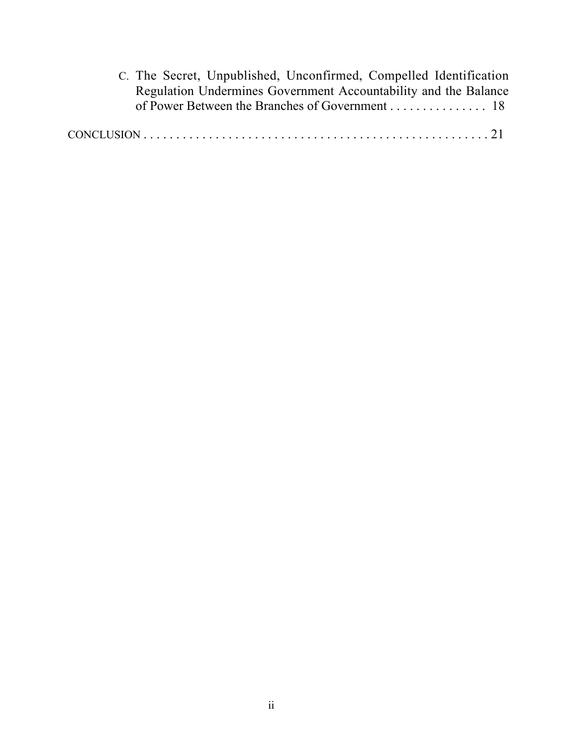C. The Secret, Unpublished, Unconfirmed, Compelled Identification Regulation Undermines Government Accountability and the Balance of Power Between the Branches of Government . . . . . . . . . . . . . . . 18

|--|--|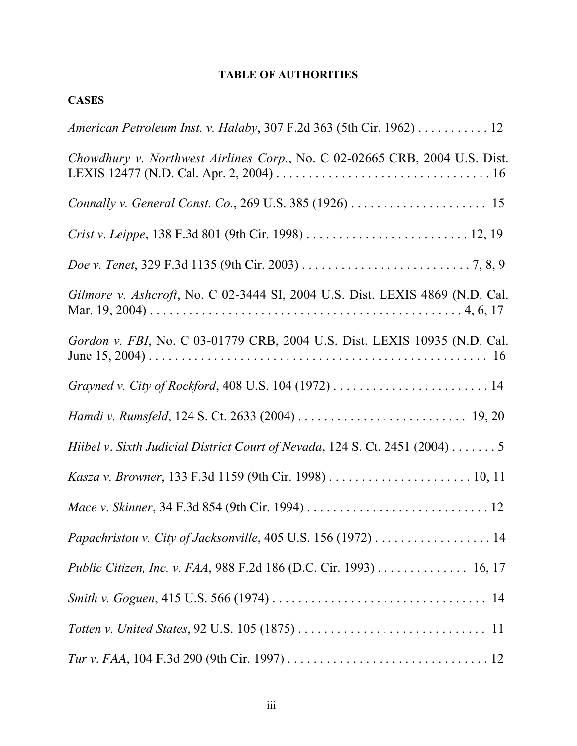#### TABLE OF AUTHORITIES

| <b>CASES</b>                                                                 |
|------------------------------------------------------------------------------|
| American Petroleum Inst. v. Halaby, 307 F.2d 363 (5th Cir. 1962) 12          |
| Chowdhury v. Northwest Airlines Corp., No. C 02-02665 CRB, 2004 U.S. Dist.   |
|                                                                              |
|                                                                              |
|                                                                              |
| Gilmore v. Ashcroft, No. C 02-3444 SI, 2004 U.S. Dist. LEXIS 4869 (N.D. Cal. |
| Gordon v. FBI, No. C 03-01779 CRB, 2004 U.S. Dist. LEXIS 10935 (N.D. Cal.    |
|                                                                              |
|                                                                              |
| Hiibel v. Sixth Judicial District Court of Nevada, 124 S. Ct. 2451 (2004) 5  |
|                                                                              |
|                                                                              |
|                                                                              |
| Public Citizen, Inc. v. FAA, 988 F.2d 186 (D.C. Cir. 1993) 16, 17            |
|                                                                              |
|                                                                              |
|                                                                              |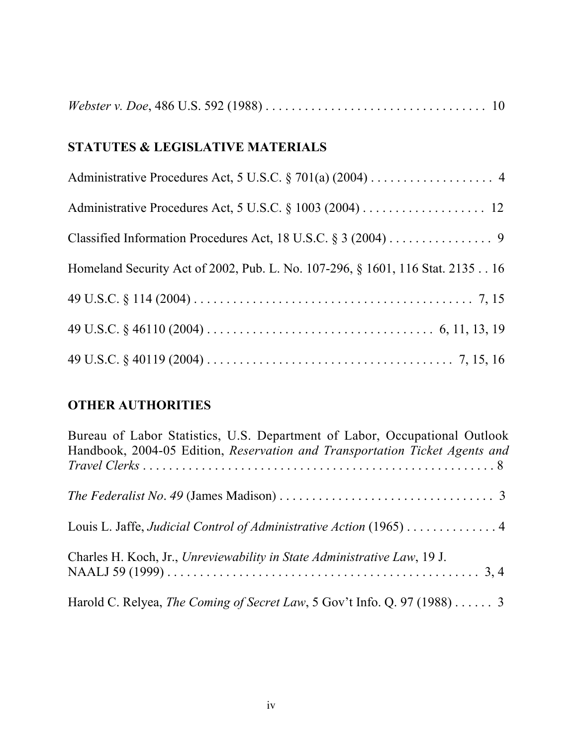|--|--|--|

# STATUTES & LEGISLATIVE MATERIALS

| Classified Information Procedures Act, 18 U.S.C. § 3 (2004) 9                 |
|-------------------------------------------------------------------------------|
| Homeland Security Act of 2002, Pub. L. No. 107-296, § 1601, 116 Stat. 2135 16 |
|                                                                               |
|                                                                               |
|                                                                               |

# OTHER AUTHORITIES

| Bureau of Labor Statistics, U.S. Department of Labor, Occupational Outlook                                |
|-----------------------------------------------------------------------------------------------------------|
| Handbook, 2004-05 Edition, Reservation and Transportation Ticket Agents and                               |
|                                                                                                           |
| The Federalist No. 49 (James Madison) $\dots \dots \dots \dots \dots \dots \dots \dots \dots \dots \dots$ |
| Louis L. Jaffe, Judicial Control of Administrative Action (1965) 4                                        |
| Charles H. Koch, Jr., Unreviewability in State Administrative Law, 19 J.                                  |
|                                                                                                           |
| Harold C. Relyea, The Coming of Secret Law, 5 Gov't Info. Q. 97 (1988)  3                                 |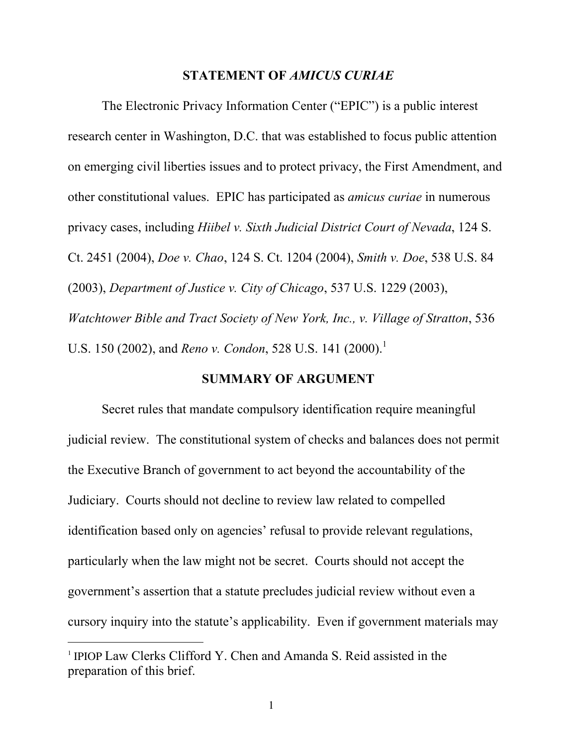#### STATEMENT OF *AMICUS CURIAE*

The Electronic Privacy Information Center ("EPIC") is a public interest research center in Washington, D.C. that was established to focus public attention on emerging civil liberties issues and to protect privacy, the First Amendment, and other constitutional values. EPIC has participated as *amicus curiae* in numerous privacy cases, including *Hiibel v. Sixth Judicial District Court of Nevada*, 124 S. Ct. 2451 (2004), *Doe v. Chao*, 124 S. Ct. 1204 (2004), *Smith v. Doe*, 538 U.S. 84 (2003), *Department of Justice v. City of Chicago*, 537 U.S. 1229 (2003), *Watchtower Bible and Tract Society of New York, Inc., v. Village of Stratton*, 536 U.S. 150 (2002), and *Reno v. Condon*, 528 U.S. 141 (2000).<sup>1</sup>

#### SUMMARY OF ARGUMENT

Secret rules that mandate compulsory identification require meaningful judicial review. The constitutional system of checks and balances does not permit the Executive Branch of government to act beyond the accountability of the Judiciary. Courts should not decline to review law related to compelled identification based only on agencies' refusal to provide relevant regulations, particularly when the law might not be secret. Courts should not accept the government's assertion that a statute precludes judicial review without even a cursory inquiry into the statute's applicability. Even if government materials may

 $\overline{a}$ 

<sup>&</sup>lt;sup>1</sup> IPIOP Law Clerks Clifford Y. Chen and Amanda S. Reid assisted in the preparation of this brief.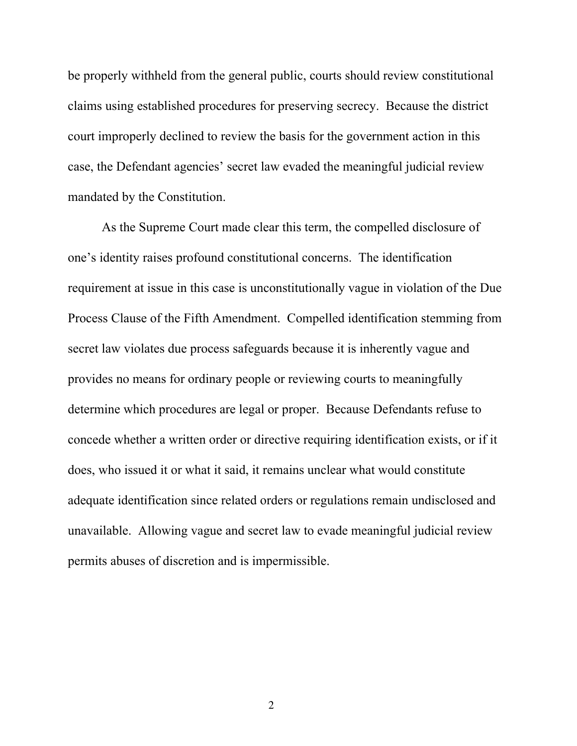be properly withheld from the general public, courts should review constitutional claims using established procedures for preserving secrecy. Because the district court improperly declined to review the basis for the government action in this case, the Defendant agencies' secret law evaded the meaningful judicial review mandated by the Constitution.

As the Supreme Court made clear this term, the compelled disclosure of one's identity raises profound constitutional concerns. The identification requirement at issue in this case is unconstitutionally vague in violation of the Due Process Clause of the Fifth Amendment. Compelled identification stemming from secret law violates due process safeguards because it is inherently vague and provides no means for ordinary people or reviewing courts to meaningfully determine which procedures are legal or proper. Because Defendants refuse to concede whether a written order or directive requiring identification exists, or if it does, who issued it or what it said, it remains unclear what would constitute adequate identification since related orders or regulations remain undisclosed and unavailable. Allowing vague and secret law to evade meaningful judicial review permits abuses of discretion and is impermissible.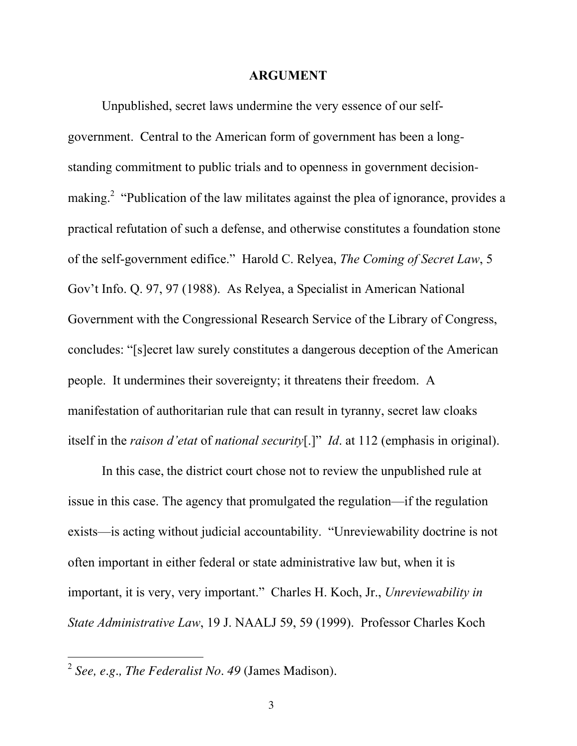#### ARGUMENT

<span id="page-9-0"></span>Unpublished, secret laws undermine the very essence of our selfgovernment. Central to the American form of government has been a longstanding commitment to public trials and to openness in government decisionmaking.<sup>2</sup> "Publication of the law militates against the plea of ignorance, provides a practical refutation of such a defense, and otherwise constitutes a foundation stone of the self-government edifice." Harold C. Relyea, *The Coming of Secret Law*, 5 Gov't Info. Q. 97, 97 (1988). As Relyea, a Specialist in American National Government with the Congressional Research Service of the Library of Congress, concludes: "[s]ecret law surely constitutes a dangerous deception of the American people. It undermines their sovereignty; it threatens their freedom. A manifestation of authoritarian rule that can result in tyranny, secret law cloaks itself in the *raison d'etat* of *national security*[.]" *Id*. at 112 (emphasis in original).

In this case, the district court chose not to review the unpublished rule at issue in this case. The agency that promulgated the regulation—if the regulation exists—is acting without judicial accountability. "Unreviewability doctrine is not often important in either federal or state administrative law but, when it is important, it is very, very important." Charles H. Koch, Jr., *Unreviewability in State Administrative Law*, 19 J. NAALJ 59, 59 (1999). Professor Charles Koch

 $\overline{a}$ 

<sup>2</sup>*See, e.g., The Federalist No*. *49* (James Madison).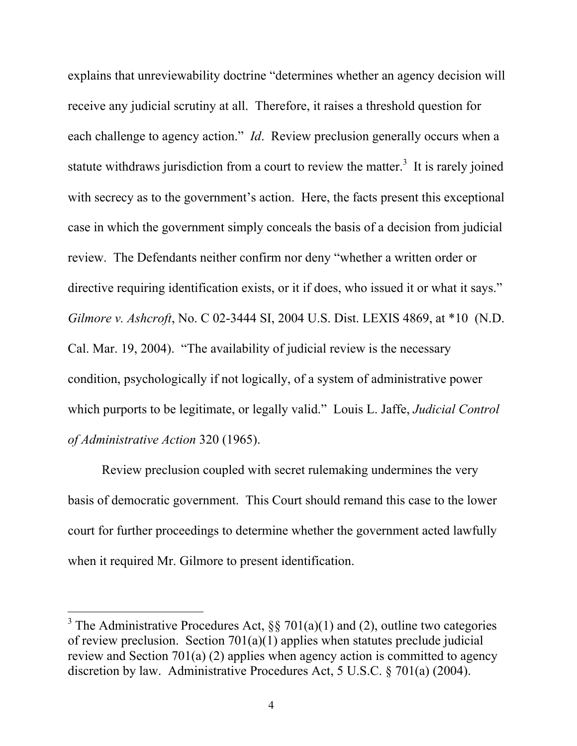<span id="page-10-0"></span>explains that unreviewability doctrine "determines whether an agency decision will receive any judicial scrutiny at all. Therefore, it raises a threshold question for each challenge to agency action." *Id*. Review preclusion generally occurs when a statute withdraws jurisdiction from a court to review the matter.<sup>3</sup> It is rarely joined with secrecy as to the government's action. Here, the facts present this exceptional case in which the government simply conceals the basis of a decision from judicial review. The Defendants neither confirm nor deny "whether a written order or directive requiring identification exists, or it if does, who issued it or what it says." *Gilmore v. Ashcroft*, No. C 02-3444 SI, 2004 U.S. Dist. LEXIS 4869, at \*10 (N.D. Cal. Mar. 19, 2004). "The availability of judicial review is the necessary condition, psychologically if not logically, of a system of administrative power which purports to be legitimate, or legally valid." Louis L. Jaffe, *Judicial Control of Administrative Action* 320 (1965).

Review preclusion coupled with secret rulemaking undermines the very basis of democratic government. This Court should remand this case to the lower court for further proceedings to determine whether the government acted lawfully when it required Mr. Gilmore to present identification.

 $\overline{a}$ 

<sup>&</sup>lt;sup>3</sup> The Administrative Procedures Act, §§ 701(a)(1) and (2), outline two categories of review preclusion. Section  $701(a)(1)$  applies when statutes preclude judicial review and Section 701(a) (2) applies when agency action is committed to agency discretion by law. Administrative Procedures Act, 5 U.S.C. § 701(a) (2004).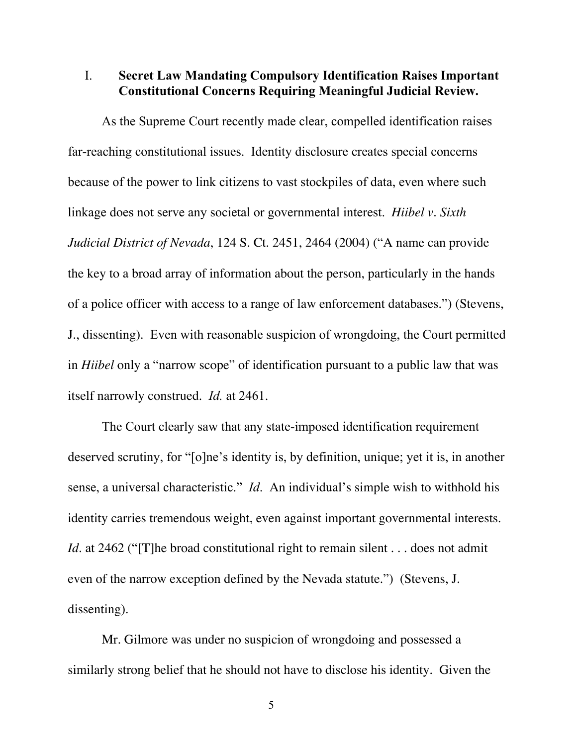#### <span id="page-11-0"></span>I. Secret Law Mandating Compulsory Identification Raises Important Constitutional Concerns Requiring Meaningful Judicial Review.

 itself narrowly construed. *Id.* at 2461. As the Supreme Court recently made clear, compelled identification raises far-reaching constitutional issues. Identity disclosure creates special concerns because of the power to link citizens to vast stockpiles of data, even where such linkage does not serve any societal or governmental interest. *Hiibel v. Sixth Judicial District of Nevada*, 124 S. Ct. 2451, 2464 (2004) ("A name can provide the key to a broad array of information about the person, particularly in the hands of a police officer with access to a range of law enforcement databases.") (Stevens, J., dissenting). Even with reasonable suspicion of wrongdoing, the Court permitted in *Hiibel* only a "narrow scope" of identification pursuant to a public law that was

The Court clearly saw that any state-imposed identification requirement deserved scrutiny, for "[o]ne's identity is, by definition, unique; yet it is, in another sense, a universal characteristic." *Id*. An individual's simple wish to withhold his identity carries tremendous weight, even against important governmental interests. *Id.* at 2462 ("The broad constitutional right to remain silent . . . does not admit even of the narrow exception defined by the Nevada statute.") (Stevens, J. dissenting).

Mr. Gilmore was under no suspicion of wrongdoing and possessed a similarly strong belief that he should not have to disclose his identity. Given the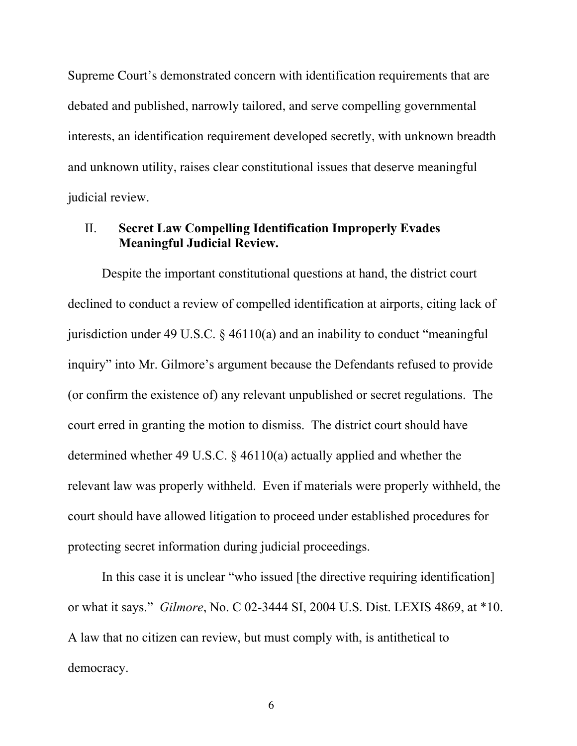Supreme Court's demonstrated concern with identification requirements that are debated and published, narrowly tailored, and serve compelling governmental interests, an identification requirement developed secretly, with unknown breadth and unknown utility, raises clear constitutional issues that deserve meaningful judicial review.

### II. Secret Law Compelling Identification Improperly Evades Meaningful Judicial Review.

Despite the important constitutional questions at hand, the district court declined to conduct a review of compelled identification at airports, citing lack of jurisdiction under 49 U.S.C.  $\S$  46110(a) and an inability to conduct "meaningful inquiry" into Mr. Gilmore's argument because the Defendants refused to provide (or confirm the existence of) any relevant unpublished or secret regulations. The court erred in granting the motion to dismiss. The district court should have determined whether 49 U.S.C. § 46110(a) actually applied and whether the relevant law was properly withheld. Even if materials were properly withheld, the court should have allowed litigation to proceed under established procedures for protecting secret information during judicial proceedings.

In this case it is unclear "who issued [the directive requiring identification] or what it says." *Gilmore*, No. C 02-3444 SI, 2004 U.S. Dist. LEXIS 4869, at \*10. A law that no citizen can review, but must comply with, is antithetical to democracy.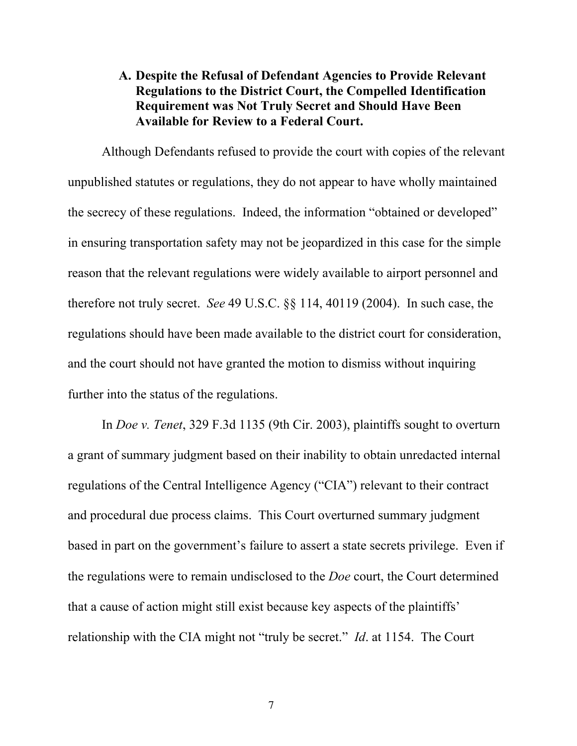## A. Despite the Refusal of Defendant Agencies to Provide Relevant Regulations to the District Court, the Compelled Identification Requirement was Not Truly Secret and Should Have Been Available for Review to a Federal Court.

Although Defendants refused to provide the court with copies of the relevant unpublished statutes or regulations, they do not appear to have wholly maintained the secrecy of these regulations. Indeed, the information "obtained or developed" in ensuring transportation safety may not be jeopardized in this case for the simple reason that the relevant regulations were widely available to airport personnel and therefore not truly secret. *See* 49 U.S.C. §§ 114, 40119 (2004). In such case, the regulations should have been made available to the district court for consideration, and the court should not have granted the motion to dismiss without inquiring further into the status of the regulations.

In *Doe v. Tenet*, 329 F.3d 1135 (9th Cir. 2003), plaintiffs sought to overturn a grant of summary judgment based on their inability to obtain unredacted internal regulations of the Central Intelligence Agency ("CIA") relevant to their contract and procedural due process claims. This Court overturned summary judgment based in part on the government's failure to assert a state secrets privilege. Even if the regulations were to remain undisclosed to the *Doe* court, the Court determined that a cause of action might still exist because key aspects of the plaintiffs' relationship with the CIA might not "truly be secret." *Id*. at 1154. The Court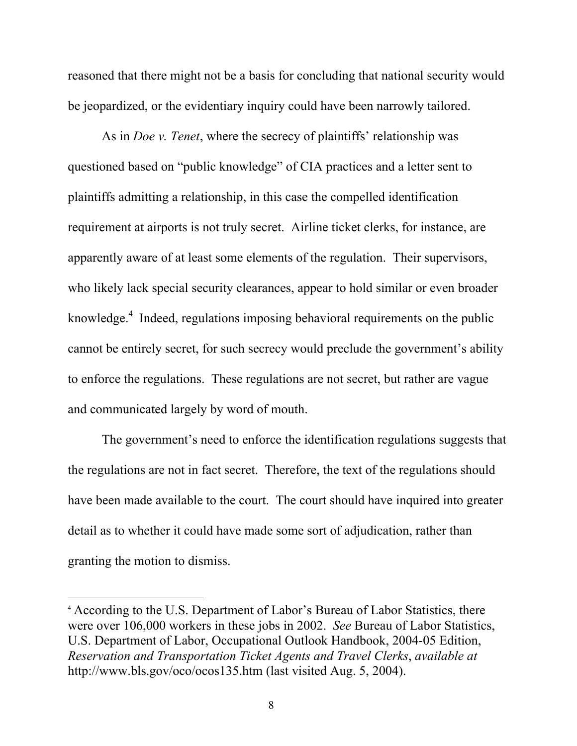<span id="page-14-0"></span>reasoned that there might not be a basis for concluding that national security would be jeopardized, or the evidentiary inquiry could have been narrowly tailored.

As in *Doe v. Tenet*, where the secrecy of plaintiffs' relationship was questioned based on "public knowledge" of CIA practices and a letter sent to plaintiffs admitting a relationship, in this case the compelled identification requirement at airports is not truly secret. Airline ticket clerks, for instance, are apparently aware of at least some elements of the regulation. Their supervisors, who likely lack special security clearances, appear to hold similar or even broader knowledge.<sup>4</sup> Indeed, regulations imposing behavioral requirements on the public cannot be entirely secret, for such secrecy would preclude the government's ability to enforce the regulations. These regulations are not secret, but rather are vague and communicated largely by word of mouth.

The government's need to enforce the identification regulations suggests that the regulations are not in fact secret. Therefore, the text of the regulations should have been made available to the court. The court should have inquired into greater detail as to whether it could have made some sort of adjudication, rather than granting the motion to dismiss.

 $\overline{a}$ 

<sup>4</sup>According to the U.S. Department of Labor's Bureau of Labor Statistics, there were over 106,000 workers in these jobs in 2002. *See* Bureau of Labor Statistics, U.S. Department of Labor, Occupational Outlook Handbook, 2004-05 Edition, *Reservation and Transportation Ticket Agents and Travel Clerks*, *available at*  http://www.bls.gov/oco/ocos135.htm (last visited Aug. 5, 2004).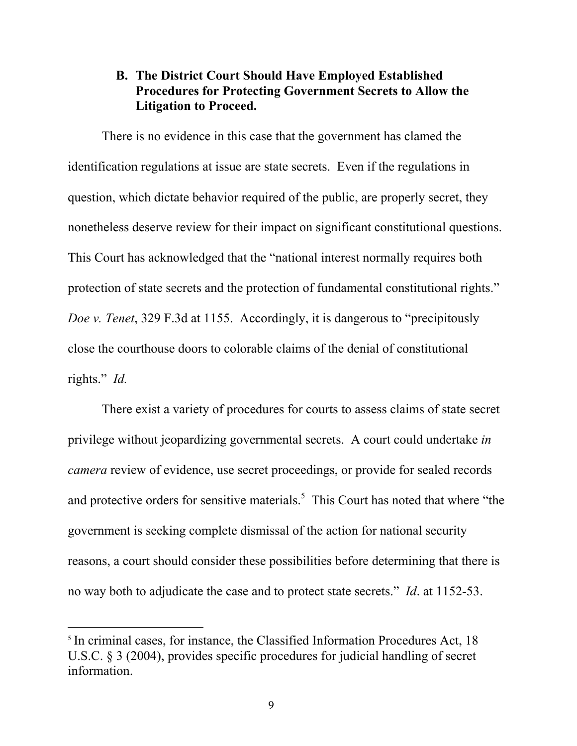### <span id="page-15-0"></span>B. The District Court Should Have Employed Established Procedures for Protecting Government Secrets to Allow the Litigation to Proceed.

There is no evidence in this case that the government has clamed the identification regulations at issue are state secrets. Even if the regulations in question, which dictate behavior required of the public, are properly secret, they nonetheless deserve review for their impact on significant constitutional questions. This Court has acknowledged that the "national interest normally requires both protection of state secrets and the protection of fundamental constitutional rights." *Doe v. Tenet*, 329 F.3d at 1155. Accordingly, it is dangerous to "precipitously close the courthouse doors to colorable claims of the denial of constitutional rights." *Id.* 

There exist a variety of procedures for courts to assess claims of state secret privilege without jeopardizing governmental secrets. A court could undertake *in camera* review of evidence, use secret proceedings, or provide for sealed records and protective orders for sensitive materials.<sup>5</sup> This Court has noted that where "the government is seeking complete dismissal of the action for national security reasons, a court should consider these possibilities before determining that there is no way both to adjudicate the case and to protect state secrets." *Id*. at 1152-53.

 $\overline{a}$ 

<sup>&</sup>lt;sup>5</sup> In criminal cases, for instance, the Classified Information Procedures Act, 18 U.S.C. § 3 (2004), provides specific procedures for judicial handling of secret information.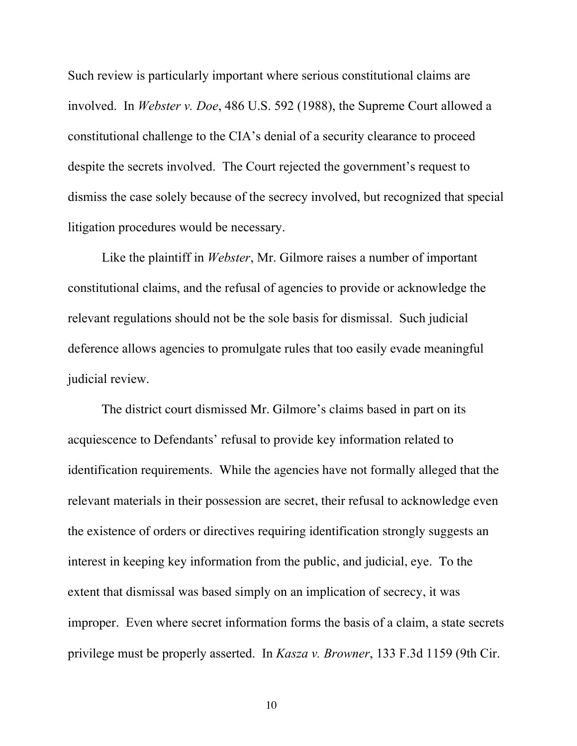Such review is particularly important where serious constitutional claims are involved. In *Webster v. Doe*, 486 U.S. 592 (1988), the Supreme Court allowed a constitutional challenge to the CIA's denial of a security clearance to proceed despite the secrets involved. The Court rejected the government's request to dismiss the case solely because of the secrecy involved, but recognized that special litigation procedures would be necessary.

Like the plaintiff in *Webster*, Mr. Gilmore raises a number of important constitutional claims, and the refusal of agencies to provide or acknowledge the relevant regulations should not be the sole basis for dismissal. Such judicial deference allows agencies to promulgate rules that too easily evade meaningful judicial review.

The district court dismissed Mr. Gilmore's claims based in part on its acquiescence to Defendants' refusal to provide key information related to identification requirements. While the agencies have not formally alleged that the relevant materials in their possession are secret, their refusal to acknowledge even the existence of orders or directives requiring identification strongly suggests an interest in keeping key information from the public, and judicial, eye. To the extent that dismissal was based simply on an implication of secrecy, it was improper. Even where secret information forms the basis of a claim, a state secrets privilege must be properly asserted. In *Kasza v. Browner*, 133 F.3d 1159 (9th Cir.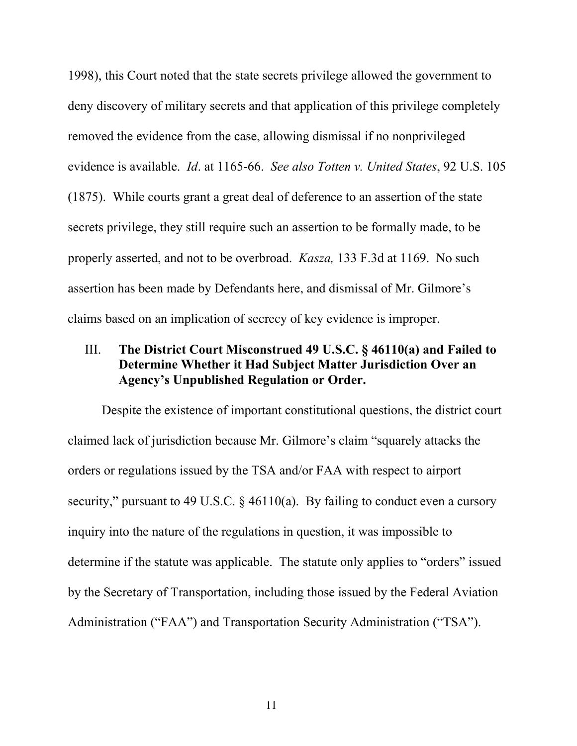<span id="page-17-0"></span>1998), this Court noted that the state secrets privilege allowed the government to deny discovery of military secrets and that application of this privilege completely removed the evidence from the case, allowing dismissal if no nonprivileged evidence is available. *Id*. at 1165-66. *See also Totten v. United States*, 92 U.S. 105 (1875). While courts grant a great deal of deference to an assertion of the state secrets privilege, they still require such an assertion to be formally made, to be properly asserted, and not to be overbroad. *Kasza,* 133 F.3d at 1169. No such assertion has been made by Defendants here, and dismissal of Mr. Gilmore's claims based on an implication of secrecy of key evidence is improper.

### III. The District Court Misconstrued 49 U.S.C.  $\S$  46110(a) and Failed to Determine Whether it Had Subject Matter Jurisdiction Over an Agency's Unpublished Regulation or Order.

Despite the existence of important constitutional questions, the district court claimed lack of jurisdiction because Mr. Gilmore's claim "squarely attacks the orders or regulations issued by the TSA and/or FAA with respect to airport security," pursuant to 49 U.S.C. § 46110(a). By failing to conduct even a cursory inquiry into the nature of the regulations in question, it was impossible to determine if the statute was applicable. The statute only applies to "orders" issued by the Secretary of Transportation, including those issued by the Federal Aviation Administration ("FAA") and Transportation Security Administration ("TSA").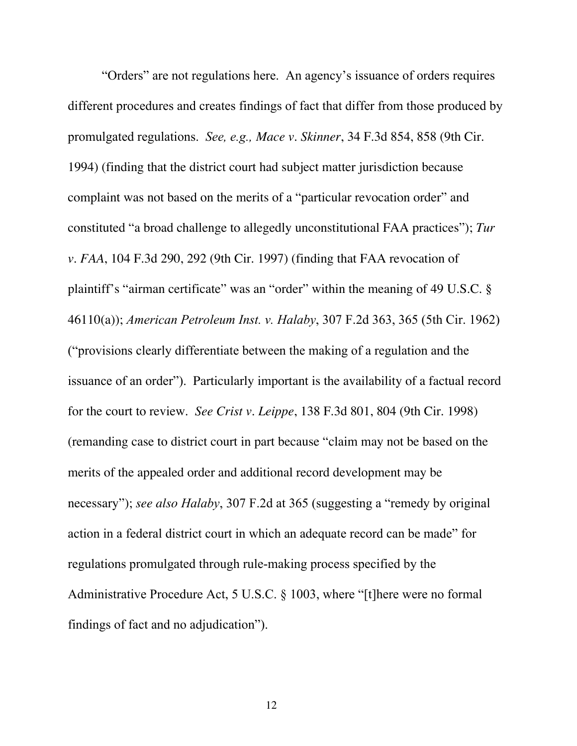<span id="page-18-0"></span>"Orders" are not regulations here. An agency's issuance of orders requires different procedures and creates findings of fact that differ from those produced by promulgated regulations. *See, e.g., Mace v. Skinner*, 34 F.3d 854, 858 (9th Cir. 1994) (finding that the district court had subject matter jurisdiction because complaint was not based on the merits of a "particular revocation order" and constituted "a broad challenge to allegedly unconstitutional FAA practices"); *Tur v. FAA*, 104 F.3d 290, 292 (9th Cir. 1997) (finding that FAA revocation of plaintiff's "airman certificate" was an "order" within the meaning of 49 U.S.C. § 46110(a)); *American Petroleum Inst. v. Halaby*, 307 F.2d 363, 365 (5th Cir. 1962) ("provisions clearly differentiate between the making of a regulation and the issuance of an order"). Particularly important is the availability of a factual record for the court to review. *See Crist v. Leippe*, 138 F.3d 801, 804 (9th Cir. 1998) (remanding case to district court in part because "claim may not be based on the merits of the appealed order and additional record development may be necessary"); *see also Halaby*, 307 F.2d at 365 (suggesting a "remedy by original action in a federal district court in which an adequate record can be made" for regulations promulgated through rule-making process specified by the Administrative Procedure Act, 5 U.S.C. § 1003, where "[t]here were no formal findings of fact and no adjudication").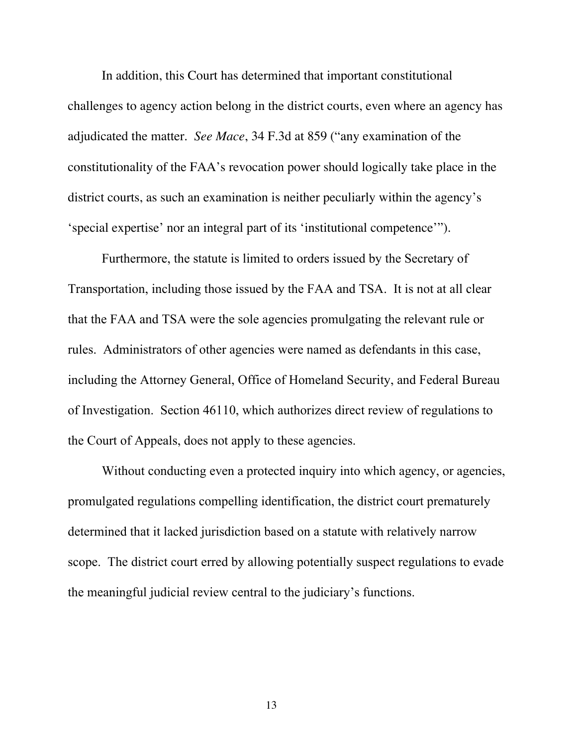In addition, this Court has determined that important constitutional challenges to agency action belong in the district courts, even where an agency has adjudicated the matter. *See Mace*, 34 F.3d at 859 ("any examination of the constitutionality of the FAA's revocation power should logically take place in the district courts, as such an examination is neither peculiarly within the agency's 'special expertise' nor an integral part of its 'institutional competence'").

Furthermore, the statute is limited to orders issued by the Secretary of Transportation, including those issued by the FAA and TSA. It is not at all clear that the FAA and TSA were the sole agencies promulgating the relevant rule or rules. Administrators of other agencies were named as defendants in this case, including the Attorney General, Office of Homeland Security, and Federal Bureau of Investigation. Section 46110, which authorizes direct review of regulations to the Court of Appeals, does not apply to these agencies.

Without conducting even a protected inquiry into which agency, or agencies, promulgated regulations compelling identification, the district court prematurely determined that it lacked jurisdiction based on a statute with relatively narrow scope. The district court erred by allowing potentially suspect regulations to evade the meaningful judicial review central to the judiciary's functions.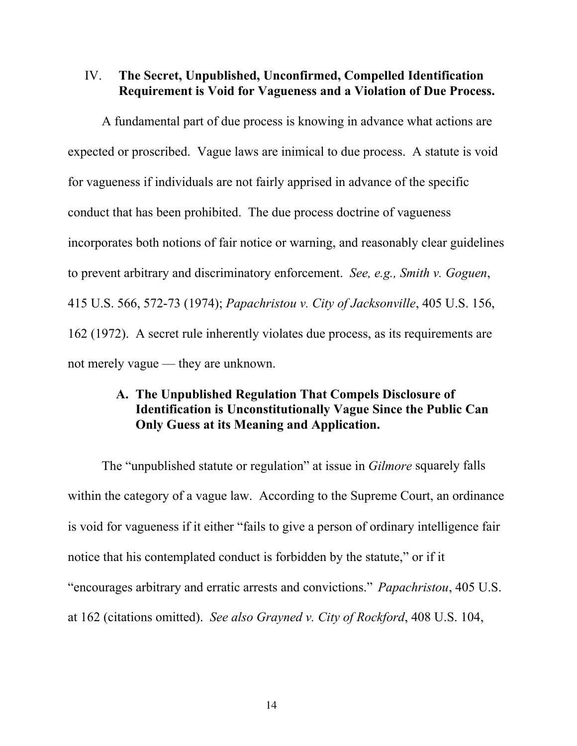#### <span id="page-20-0"></span>IV. The Secret, Unpublished, Unconfirmed, Compelled Identification Requirement is Void for Vagueness and a Violation of Due Process.

A fundamental part of due process is knowing in advance what actions are expected or proscribed. Vague laws are inimical to due process. A statute is void for vagueness if individuals are not fairly apprised in advance of the specific conduct that has been prohibited. The due process doctrine of vagueness incorporates both notions of fair notice or warning, and reasonably clear guidelines to prevent arbitrary and discriminatory enforcement. *See, e.g., Smith v. Goguen*, 415 U.S. 566, 572-73 (1974); *Papachristou v. City of Jacksonville*, 405 U.S. 156, 162 (1972). A secret rule inherently violates due process, as its requirements are not merely vague — they are unknown.

### A. The Unpublished Regulation That Compels Disclosure of Identification is Unconstitutionally Vague Since the Public Can Only Guess at its Meaning and Application.

The "unpublished statute or regulation" at issue in *Gilmore* squarely falls within the category of a vague law. According to the Supreme Court, an ordinance is void for vagueness if it either "fails to give a person of ordinary intelligence fair notice that his contemplated conduct is forbidden by the statute," or if it "encourages arbitrary and erratic arrests and convictions." *Papachristou*, 405 U.S. at 162 (citations omitted). *See also Grayned v. City of Rockford*, 408 U.S. 104,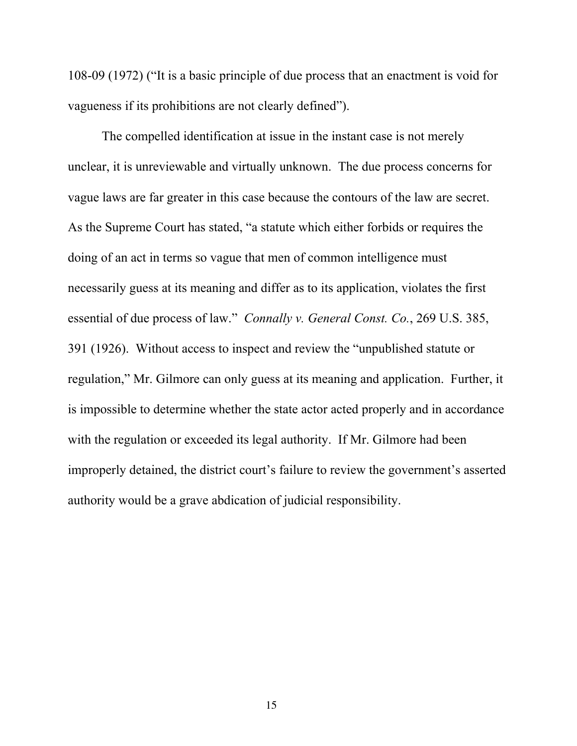<span id="page-21-0"></span>108-09 (1972) ("It is a basic principle of due process that an enactment is void for vagueness if its prohibitions are not clearly defined").

The compelled identification at issue in the instant case is not merely unclear, it is unreviewable and virtually unknown. The due process concerns for vague laws are far greater in this case because the contours of the law are secret. As the Supreme Court has stated, "a statute which either forbids or requires the doing of an act in terms so vague that men of common intelligence must necessarily guess at its meaning and differ as to its application, violates the first essential of due process of law." *Connally v. General Const. Co.*, 269 U.S. 385, 391 (1926). Without access to inspect and review the "unpublished statute or regulation," Mr. Gilmore can only guess at its meaning and application. Further, it is impossible to determine whether the state actor acted properly and in accordance with the regulation or exceeded its legal authority. If Mr. Gilmore had been improperly detained, the district court's failure to review the government's asserted authority would be a grave abdication of judicial responsibility.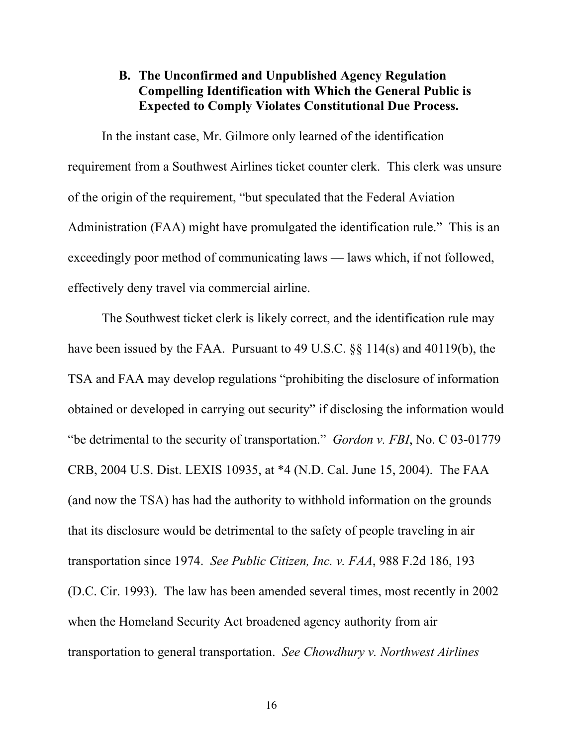### <span id="page-22-0"></span>B. The Unconfirmed and Unpublished Agency Regulation Compelling Identification with Which the General Public is Expected to Comply Violates Constitutional Due Process.

In the instant case, Mr. Gilmore only learned of the identification requirement from a Southwest Airlines ticket counter clerk. This clerk was unsure of the origin of the requirement, "but speculated that the Federal Aviation Administration (FAA) might have promulgated the identification rule." This is an exceedingly poor method of communicating laws — laws which, if not followed, effectively deny travel via commercial airline.

The Southwest ticket clerk is likely correct, and the identification rule may have been issued by the FAA. Pursuant to 49 U.S.C. §§ 114(s) and 40119(b), the TSA and FAA may develop regulations "prohibiting the disclosure of information obtained or developed in carrying out security" if disclosing the information would "be detrimental to the security of transportation." *Gordon v. FBI*, No. C 03-01779 CRB, 2004 U.S. Dist. LEXIS 10935, at \*4 (N.D. Cal. June 15, 2004). The FAA (and now the TSA) has had the authority to withhold information on the grounds that its disclosure would be detrimental to the safety of people traveling in air transportation since 1974. *See Public Citizen, Inc. v. FAA*, 988 F.2d 186, 193 (D.C. Cir. 1993). The law has been amended several times, most recently in 2002 when the Homeland Security Act broadened agency authority from air transportation to general transportation. *See Chowdhury v. Northwest Airlines*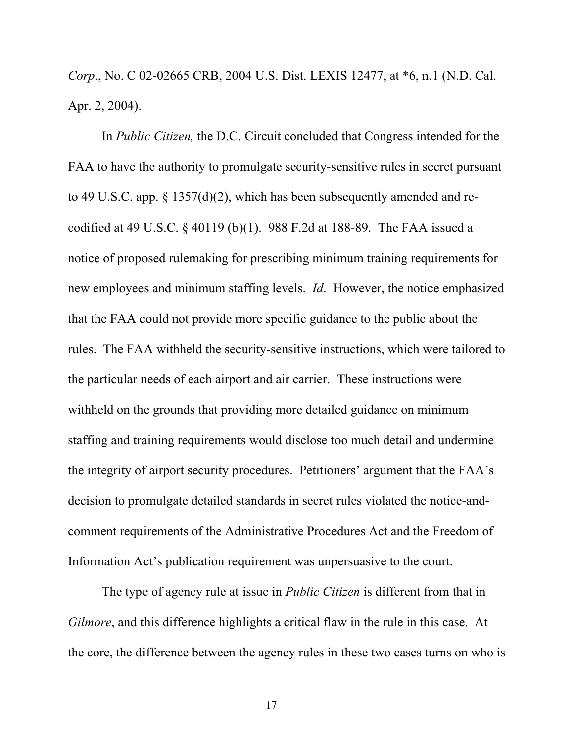<span id="page-23-0"></span>*Corp*., No. C 02-02665 CRB, 2004 U.S. Dist. LEXIS 12477, at \*6, n.1 (N.D. Cal. Apr. 2, 2004).

In *Public Citizen,* the D.C. Circuit concluded that Congress intended for the FAA to have the authority to promulgate security-sensitive rules in secret pursuant to 49 U.S.C. app. § 1357(d)(2), which has been subsequently amended and recodified at 49 U.S.C. § 40119 (b)(1). 988 F.2d at 188-89. The FAA issued a notice of proposed rulemaking for prescribing minimum training requirements for new employees and minimum staffing levels. *Id*. However, the notice emphasized that the FAA could not provide more specific guidance to the public about the rules. The FAA withheld the security-sensitive instructions, which were tailored to the particular needs of each airport and air carrier. These instructions were withheld on the grounds that providing more detailed guidance on minimum staffing and training requirements would disclose too much detail and undermine the integrity of airport security procedures. Petitioners' argument that the FAA's decision to promulgate detailed standards in secret rules violated the notice-andcomment requirements of the Administrative Procedures Act and the Freedom of Information Act's publication requirement was unpersuasive to the court.

The type of agency rule at issue in *Public Citizen* is different from that in *Gilmore*, and this difference highlights a critical flaw in the rule in this case. At the core, the difference between the agency rules in these two cases turns on who is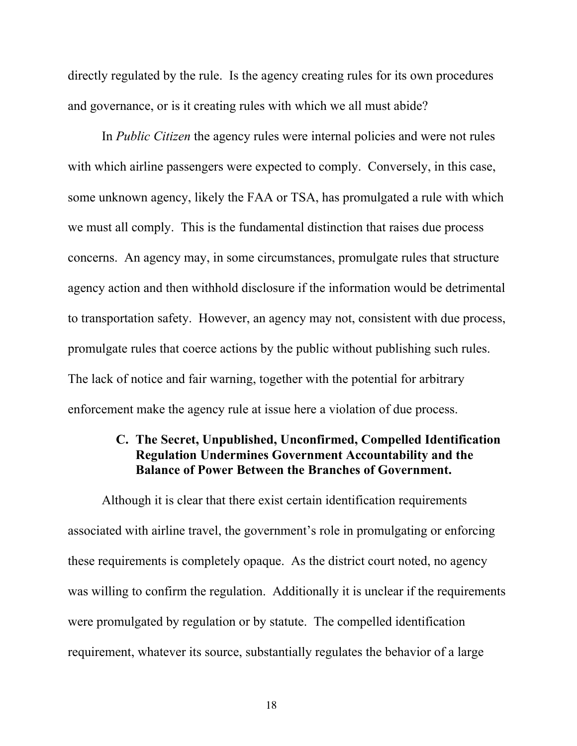directly regulated by the rule. Is the agency creating rules for its own procedures and governance, or is it creating rules with which we all must abide?

In *Public Citizen* the agency rules were internal policies and were not rules with which airline passengers were expected to comply. Conversely, in this case, some unknown agency, likely the FAA or TSA, has promulgated a rule with which we must all comply. This is the fundamental distinction that raises due process concerns. An agency may, in some circumstances, promulgate rules that structure agency action and then withhold disclosure if the information would be detrimental to transportation safety. However, an agency may not, consistent with due process, promulgate rules that coerce actions by the public without publishing such rules. The lack of notice and fair warning, together with the potential for arbitrary enforcement make the agency rule at issue here a violation of due process.

#### C. The Secret, Unpublished, Unconfirmed, Compelled Identification Regulation Undermines Government Accountability and the Balance of Power Between the Branches of Government.

Although it is clear that there exist certain identification requirements associated with airline travel, the government's role in promulgating or enforcing these requirements is completely opaque. As the district court noted, no agency was willing to confirm the regulation. Additionally it is unclear if the requirements were promulgated by regulation or by statute. The compelled identification requirement, whatever its source, substantially regulates the behavior of a large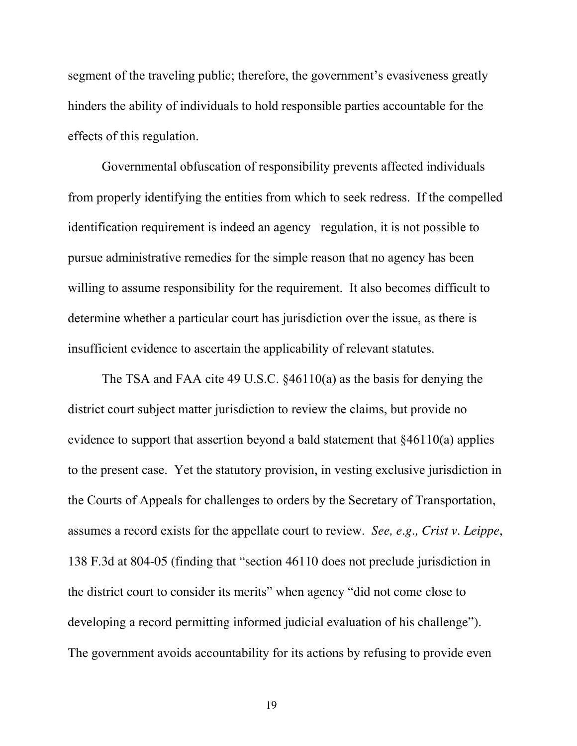<span id="page-25-0"></span>segment of the traveling public; therefore, the government's evasiveness greatly hinders the ability of individuals to hold responsible parties accountable for the effects of this regulation.

Governmental obfuscation of responsibility prevents affected individuals from properly identifying the entities from which to seek redress. If the compelled identification requirement is indeed an agency regulation, it is not possible to pursue administrative remedies for the simple reason that no agency has been willing to assume responsibility for the requirement. It also becomes difficult to determine whether a particular court has jurisdiction over the issue, as there is insufficient evidence to ascertain the applicability of relevant statutes.

The TSA and FAA cite 49 U.S.C. §46110(a) as the basis for denying the district court subject matter jurisdiction to review the claims, but provide no evidence to support that assertion beyond a bald statement that §46110(a) applies to the present case. Yet the statutory provision, in vesting exclusive jurisdiction in the Courts of Appeals for challenges to orders by the Secretary of Transportation, assumes a record exists for the appellate court to review. *See, e.g., Crist v. Leippe*, 138 F.3d at 804-05 (finding that "section 46110 does not preclude jurisdiction in the district court to consider its merits" when agency "did not come close to developing a record permitting informed judicial evaluation of his challenge"). The government avoids accountability for its actions by refusing to provide even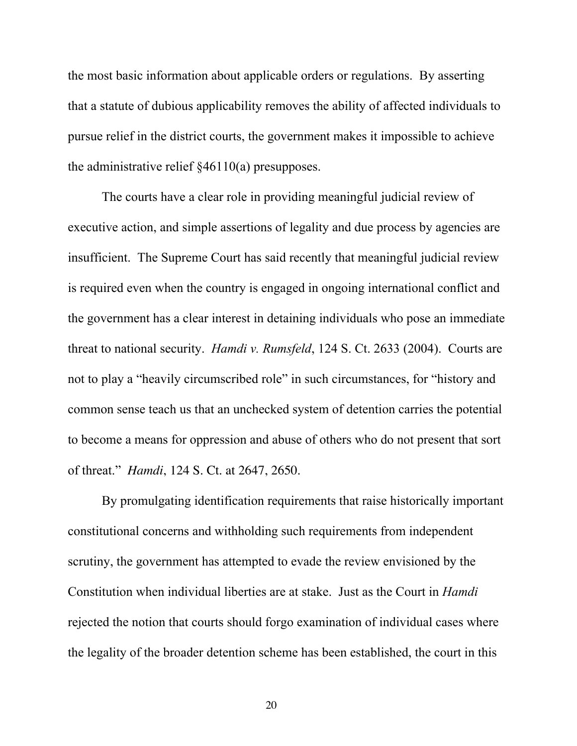<span id="page-26-0"></span>the most basic information about applicable orders or regulations. By asserting that a statute of dubious applicability removes the ability of affected individuals to pursue relief in the district courts, the government makes it impossible to achieve the administrative relief  $\frac{246110(a)}{a}$  presupposes.

The courts have a clear role in providing meaningful judicial review of executive action, and simple assertions of legality and due process by agencies are insufficient. The Supreme Court has said recently that meaningful judicial review is required even when the country is engaged in ongoing international conflict and the government has a clear interest in detaining individuals who pose an immediate threat to national security. *Hamdi v. Rumsfeld*, 124 S. Ct. 2633 (2004). Courts are not to play a "heavily circumscribed role" in such circumstances, for "history and common sense teach us that an unchecked system of detention carries the potential to become a means for oppression and abuse of others who do not present that sort of threat." *Hamdi*, 124 S. Ct. at 2647, 2650.

By promulgating identification requirements that raise historically important constitutional concerns and withholding such requirements from independent scrutiny, the government has attempted to evade the review envisioned by the Constitution when individual liberties are at stake. Just as the Court in *Hamdi*  rejected the notion that courts should forgo examination of individual cases where the legality of the broader detention scheme has been established, the court in this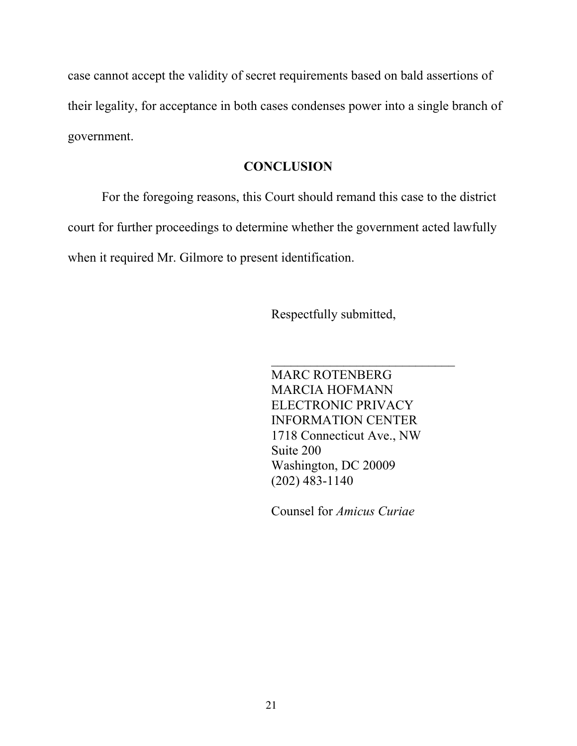case cannot accept the validity of secret requirements based on bald assertions of their legality, for acceptance in both cases condenses power into a single branch of government.

#### **CONCLUSION**

For the foregoing reasons, this Court should remand this case to the district court for further proceedings to determine whether the government acted lawfully when it required Mr. Gilmore to present identification.

Respectfully submitted,

MARC ROTENBERG MARCIA HOFMANN ELECTRONIC PRIVACY INFORMATION CENTER 1718 Connecticut Ave., NW Suite 200 Washington, DC 20009 (202) 483-1140

 $\mathcal{L}_\text{max}$  , where  $\mathcal{L}_\text{max}$  , we are the set of the set of the set of the set of the set of the set of the set of the set of the set of the set of the set of the set of the set of the set of the set of the set of

Counsel for *Amicus Curiae*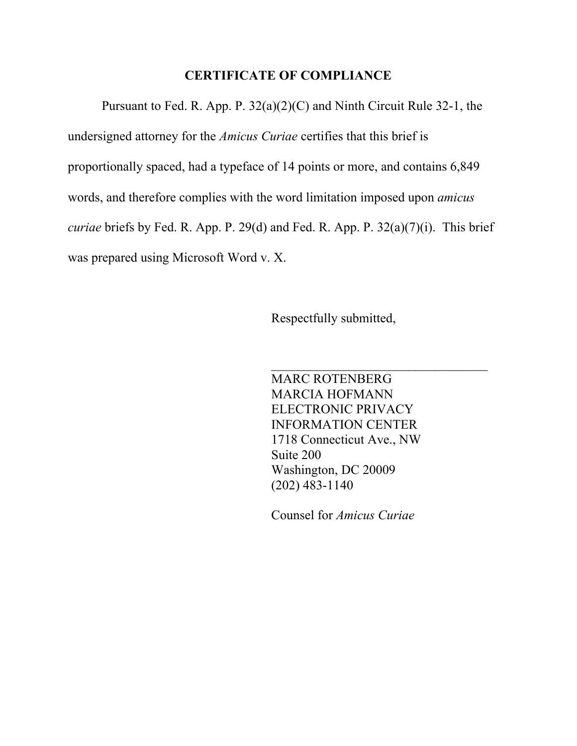#### CERTIFICATE OF COMPLIANCE

Pursuant to Fed. R. App. P. 32(a)(2)(C) and Ninth Circuit Rule 32-1, the undersigned attorney for the *Amicus Curiae* certifies that this brief is proportionally spaced, had a typeface of 14 points or more, and contains 6,849 words, and therefore complies with the word limitation imposed upon *amicus curiae* briefs by Fed. R. App. P. 29(d) and Fed. R. App. P. 32(a)(7)(i). This brief was prepared using Microsoft Word v. X.

Respectfully submitted,

MARC ROTENBERG MARCIA HOFMANN ELECTRONIC PRIVACY INFORMATION CENTER 1718 Connecticut Ave., NW Suite 200 Washington, DC 20009 (202) 483-1140

 $\mathcal{L}_\text{max}$  , where  $\mathcal{L}_\text{max}$  and  $\mathcal{L}_\text{max}$  and  $\mathcal{L}_\text{max}$ 

Counsel for *Amicus Curiae*